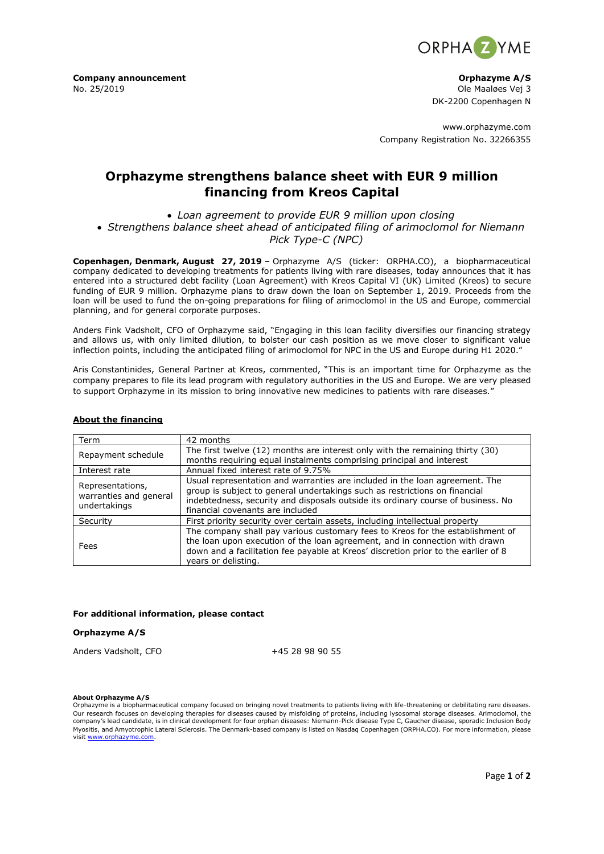

**Company announcement Company announcement Company announcement Company announcement Company announcement** No. 25/2019 Ole Maaløes Vej 3

DK-2200 Copenhagen N

www.orphazyme.com Company Registration No. 32266355

# **Orphazyme strengthens balance sheet with EUR 9 million financing from Kreos Capital**

• *Loan agreement to provide EUR 9 million upon closing* • *Strengthens balance sheet ahead of anticipated filing of arimoclomol for Niemann Pick Type-C (NPC)*

**Copenhagen, Denmark, August 27, 2019** – Orphazyme A/S (ticker: ORPHA.CO), a biopharmaceutical company dedicated to developing treatments for patients living with rare diseases, today announces that it has entered into a structured debt facility (Loan Agreement) with Kreos Capital VI (UK) Limited (Kreos) to secure funding of EUR 9 million. Orphazyme plans to draw down the loan on September 1, 2019. Proceeds from the loan will be used to fund the on-going preparations for filing of arimoclomol in the US and Europe, commercial planning, and for general corporate purposes.

Anders Fink Vadsholt, CFO of Orphazyme said, "Engaging in this loan facility diversifies our financing strategy and allows us, with only limited dilution, to bolster our cash position as we move closer to significant value inflection points, including the anticipated filing of arimoclomol for NPC in the US and Europe during H1 2020."

Aris Constantinides, General Partner at Kreos, commented, "This is an important time for Orphazyme as the company prepares to file its lead program with regulatory authorities in the US and Europe. We are very pleased to support Orphazyme in its mission to bring innovative new medicines to patients with rare diseases."

# **About the financing**

| Term                                                       | 42 months                                                                                                                                                                                                                                                                         |
|------------------------------------------------------------|-----------------------------------------------------------------------------------------------------------------------------------------------------------------------------------------------------------------------------------------------------------------------------------|
| Repayment schedule                                         | The first twelve (12) months are interest only with the remaining thirty (30)<br>months requiring equal instalments comprising principal and interest                                                                                                                             |
| Interest rate                                              | Annual fixed interest rate of 9.75%                                                                                                                                                                                                                                               |
| Representations,<br>warranties and general<br>undertakings | Usual representation and warranties are included in the loan agreement. The<br>group is subject to general undertakings such as restrictions on financial<br>indebtedness, security and disposals outside its ordinary course of business. No<br>financial covenants are included |
| Security                                                   | First priority security over certain assets, including intellectual property                                                                                                                                                                                                      |
| Fees                                                       | The company shall pay various customary fees to Kreos for the establishment of<br>the loan upon execution of the loan agreement, and in connection with drawn<br>down and a facilitation fee payable at Kreos' discretion prior to the earlier of 8<br>years or delisting.        |

### **For additional information, please contact**

# **Orphazyme A/S**

Anders Vadsholt, CFO +45 28 98 90 55

#### **About Orphazyme A/S**

Orphazyme is a biopharmaceutical company focused on bringing novel treatments to patients living with life-threatening or debilitating rare diseases. Our research focuses on developing therapies for diseases caused by misfolding of proteins, including lysosomal storage diseases. Arimoclomol, the company's lead candidate, is in clinical development for four orphan diseases: Niemann-Pick disease Type C, Gaucher disease, sporadic Inclusion Body Myositis, and Amyotrophic Lateral Sclerosis. The Denmark-based company is listed on Nasdaq Copenhagen (ORPHA.CO). For more information, please visi[t www.orphazyme.com.](http://www.orphazyme.com/)